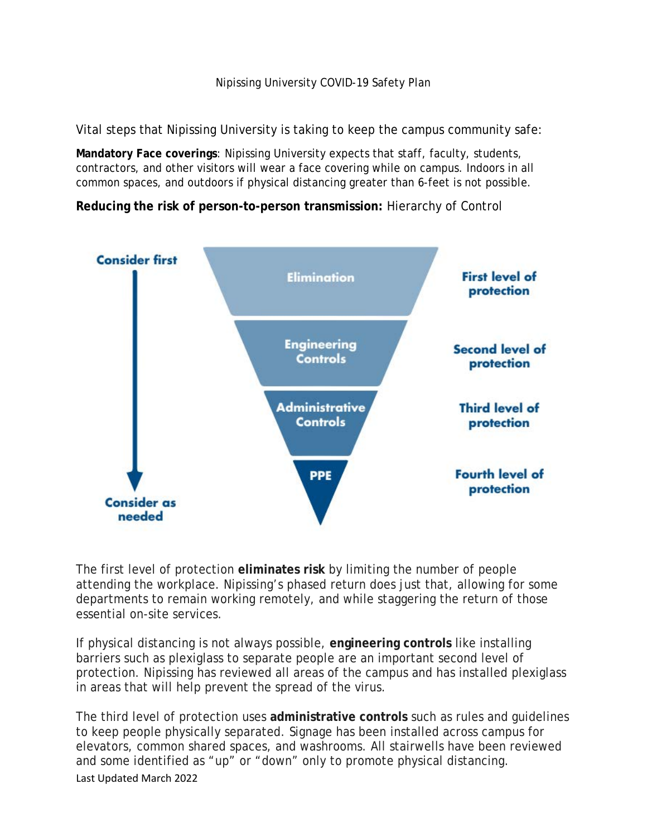## Nipissing University COVID-19 Safety Plan

Vital steps that Nipissing University is taking to keep the campus community safe:

**Mandatory Face coverings**: Nipissing University expects that staff, faculty, students, contractors, and other visitors will wear a face covering while on campus. Indoors in all common spaces, and outdoors if physical distancing greater than 6-feet is not possible.

**Reducing the risk of person-to-person transmission:** Hierarchy of Control



The first level of protection **eliminates risk** by limiting the number of people attending the workplace. Nipissing's phased return does just that, allowing for some departments to remain working remotely, and while staggering the return of those essential on-site services.

If physical distancing is not always possible, **engineering controls** like installing barriers such as plexiglass to separate people are an important second level of protection. Nipissing has reviewed all areas of the campus and has installed plexiglass in areas that will help prevent the spread of the virus.

Last Updated March 2022 The third level of protection uses **administrative controls** such as rules and guidelines to keep people physically separated. Signage has been installed across campus for elevators, common shared spaces, and washrooms. All stairwells have been reviewed and some identified as "up" or "down" only to promote physical distancing.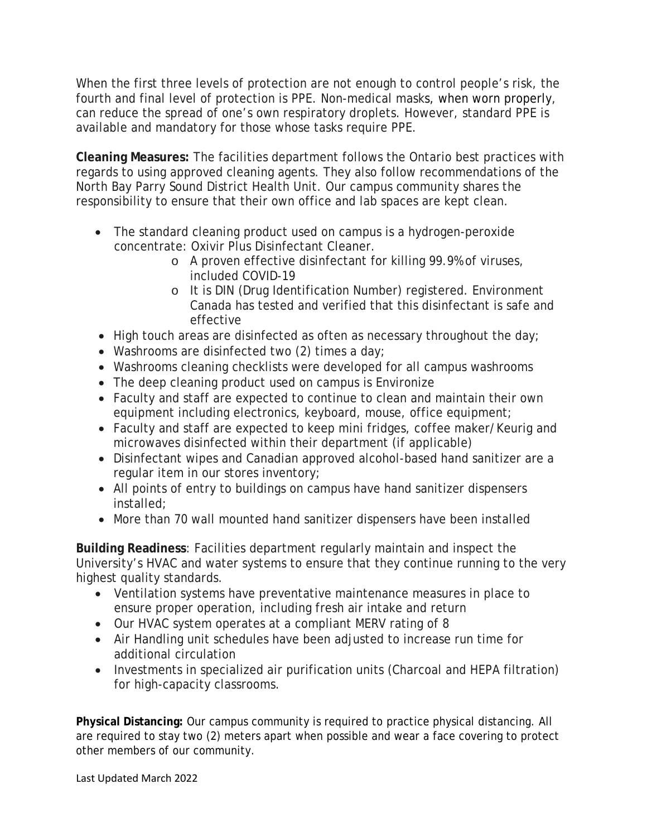When the first three levels of protection are not enough to control people's risk, the fourth and final level of protection is PPE. Non-medical masks, when worn [properly,](https://www.canada.ca/en/public-health/services/diseases/2019-novel-coronavirus-infection/prevention-risks/about-non-medical-masks-face-coverings.html#_Appropriate_non-medical_mask) can reduce the spread of one's own respiratory droplets. However, standard PPE is available and mandatory for those whose tasks require PPE.

**Cleaning Measures:** The facilities department follows the Ontario best practices with regards to using approved cleaning agents. They also follow recommendations of the North Bay Parry Sound District Health Unit. Our campus community shares the responsibility to ensure that their own office and lab spaces are kept clean.

- The standard cleaning product used on campus is a hydrogen-peroxide concentrate: Oxivir Plus Disinfectant Cleaner.
	- o A proven effective disinfectant for killing 99.9% of viruses, included COVID-19
	- o It is DIN (Drug Identification Number) registered. Environment Canada has tested and verified that this disinfectant is safe and effective
- High touch areas are disinfected as often as necessary throughout the day;
- Washrooms are disinfected two (2) times a day;
- Washrooms cleaning checklists were developed for all campus washrooms
- The deep cleaning product used on campus is Environize
- Faculty and staff are expected to continue to clean and maintain their own equipment including electronics, keyboard, mouse, office equipment;
- Faculty and staff are expected to keep mini fridges, coffee maker/Keurig and microwaves disinfected within their department (if applicable)
- Disinfectant wipes and Canadian approved alcohol-based hand sanitizer are a regular item in our stores inventory;
- All points of entry to buildings on campus have hand sanitizer dispensers installed;
- More than 70 wall mounted hand sanitizer dispensers have been installed

**Building Readiness**: Facilities department regularly maintain and inspect the University's HVAC and water systems to ensure that they continue running to the very highest quality standards.

- Ventilation systems have preventative maintenance measures in place to ensure proper operation, including fresh air intake and return
- Our HVAC system operates at a compliant MERV rating of 8
- Air Handling unit schedules have been adjusted to increase run time for additional circulation
- Investments in specialized air purification units (Charcoal and HEPA filtration) for high-capacity classrooms.

**Physical Distancing:** Our campus community is required to practice physical distancing. All are required to stay two (2) meters apart when possible and wear a face covering to protect other members of our community.

Last Updated March 2022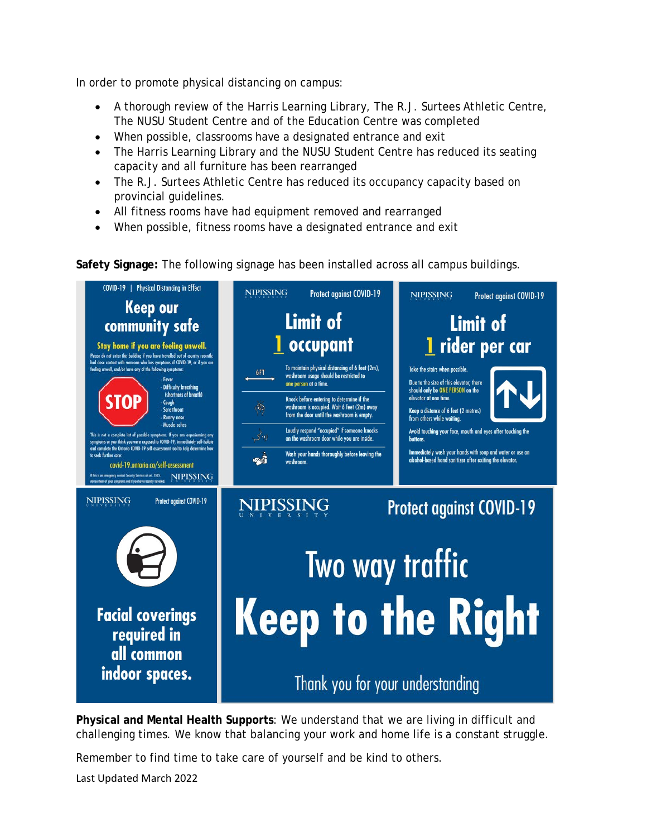In order to promote physical distancing on campus:

- A thorough review of the Harris Learning Library, The R.J. Surtees Athletic Centre, The NUSU Student Centre and of the Education Centre was completed
- When possible, classrooms have a designated entrance and exit
- The Harris Learning Library and the NUSU Student Centre has reduced its seating capacity and all furniture has been rearranged
- The R.J. Surtees Athletic Centre has reduced its occupancy capacity based on provincial guidelines.
- All fitness rooms have had equipment removed and rearranged
- When possible, fitness rooms have a designated entrance and exit

**Safety Signage:** The following signage has been installed across all campus buildings.



**Physical and Mental Health Supports**: We understand that we are living in difficult and challenging times. We know that balancing your work and home life is a constant struggle.

Remember to find time to take care of yourself and be kind to others.

Last Updated March 2022